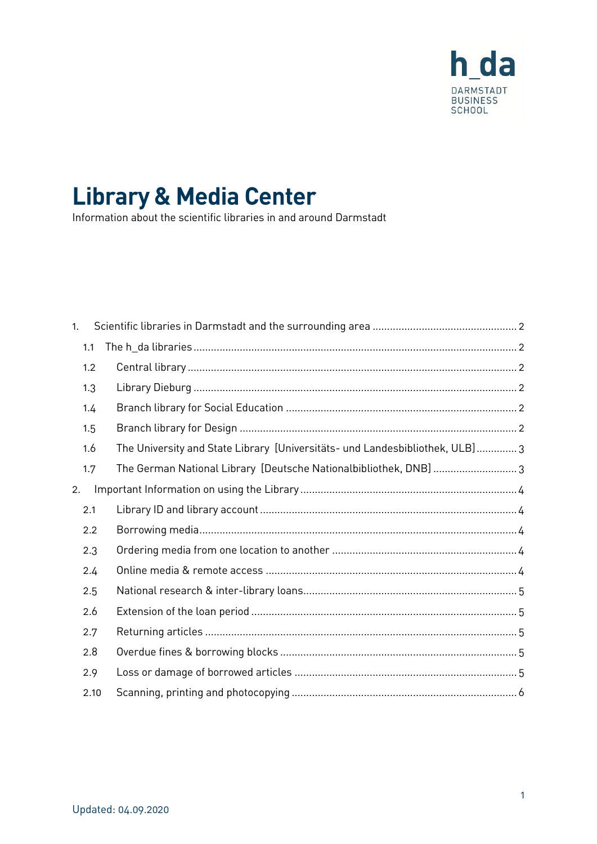

# **Library & Media Center**

Information about the scientific libraries in and around Darmstadt

| 1. |      |                                                                              |  |
|----|------|------------------------------------------------------------------------------|--|
|    | 1.1  |                                                                              |  |
|    | 1.2  |                                                                              |  |
|    | 1.3  |                                                                              |  |
|    | 1.4  |                                                                              |  |
|    | 1.5  |                                                                              |  |
|    | 1.6  | The University and State Library [Universitäts- und Landesbibliothek, ULB] 3 |  |
|    | 1.7  | The German National Library [Deutsche Nationalbibliothek, DNB] 3             |  |
| 2. |      |                                                                              |  |
|    | 2.1  |                                                                              |  |
|    | 2.2  |                                                                              |  |
|    | 2.3  |                                                                              |  |
|    | 2.4  |                                                                              |  |
|    | 2.5  |                                                                              |  |
|    | 2.6  |                                                                              |  |
|    | 2.7  |                                                                              |  |
|    | 2.8  |                                                                              |  |
|    | 2.9  |                                                                              |  |
|    | 2.10 |                                                                              |  |
|    |      |                                                                              |  |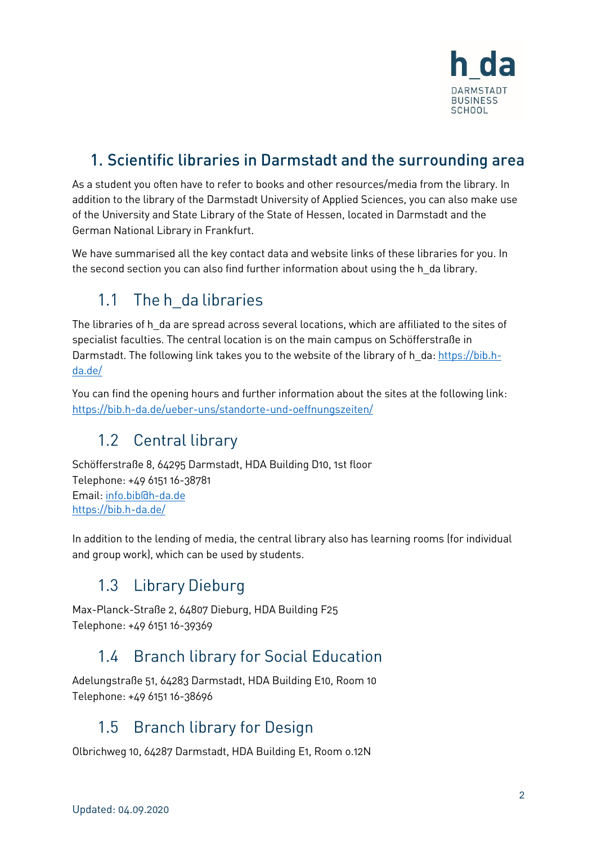

### <span id="page-1-0"></span>1. Scientific libraries in Darmstadt and the surrounding area

As a student you often have to refer to books and other resources/media from the library. In addition to the library of the Darmstadt University of Applied Sciences, you can also make use of the University and State Library of the State of Hessen, located in Darmstadt and the German National Library in Frankfurt.

We have summarised all the key contact data and website links of these libraries for you. In the second section you can also find further information about using the h\_da library.

#### <span id="page-1-1"></span>The h da libraries  $1.1$

The libraries of h da are spread across several locations, which are affiliated to the sites of specialist faculties. The central location is on the main campus on Schöfferstraße in Darmstadt. The following link takes you to the website of the library of h da: [https://bib.h](https://bib.h-da.de/)[da.de/](https://bib.h-da.de/)

You can find the opening hours and further information about the sites at the following link: <https://bib.h-da.de/ueber-uns/standorte-und-oeffnungszeiten/>

### <span id="page-1-2"></span>1.2 Central library

Schöfferstraße 8, 64295 Darmstadt, HDA Building D10, 1st floor Telephone: +49 6151 16-38781 Email: [info.bib@h-da.de](javascript:linkTo_UnCryptMailto() <https://bib.h-da.de/>

In addition to the lending of media, the central library also has learning rooms (for individual and group work), which can be used by students.

# <span id="page-1-3"></span>1.3 Library Dieburg

Max-Planck-Straße 2, 64807 Dieburg, HDA Building F25 Telephone: +49 6151 16-39369

## <span id="page-1-4"></span>1.4 Branch library for Social Education

Adelungstraße 51, 64283 Darmstadt, HDA Building E10, Room 10 Telephone: +49 6151 16-38696

### <span id="page-1-5"></span>1.5 Branch library for Design

Olbrichweg 10, 64287 Darmstadt, HDA Building E1, Room o.12N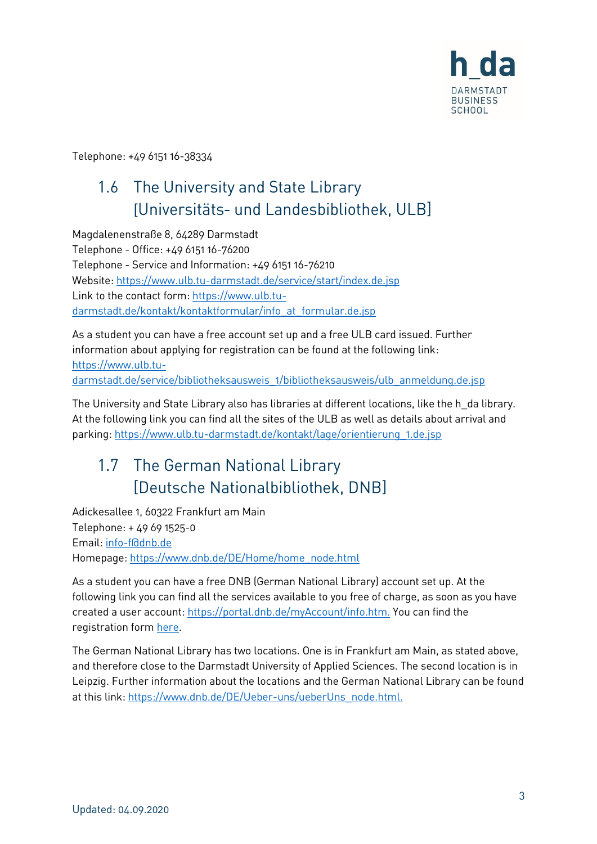

<span id="page-2-0"></span>Telephone: +49 6151 16-38334

## 1.6 The University and State Library [Universitäts- und Landesbibliothek, ULB]

Magdalenenstraße 8, 64289 Darmstadt Telephone - Office: +49 6151 16-76200 Telephone - Service and Information: +49 6151 16-76210 Website:<https://www.ulb.tu-darmstadt.de/service/start/index.de.jsp> Link to the contact form: [https://www.ulb.tu](https://www.ulb.tu-darmstadt.de/kontakt/kontaktformular/info_at_formular.de.jsp)[darmstadt.de/kontakt/kontaktformular/info\\_at\\_formular.de.jsp](https://www.ulb.tu-darmstadt.de/kontakt/kontaktformular/info_at_formular.de.jsp)

As a student you can have a free account set up and a free ULB card issued. Further information about applying for registration can be found at the following link: [https://www.ulb.tu](https://www.ulb.tu-darmstadt.de/service/bibliotheksausweis_1/bibliotheksausweis/ulb_anmeldung.de.jsp)[darmstadt.de/service/bibliotheksausweis\\_1/bibliotheksausweis/ulb\\_anmeldung.de.jsp](https://www.ulb.tu-darmstadt.de/service/bibliotheksausweis_1/bibliotheksausweis/ulb_anmeldung.de.jsp)

The University and State Library also has libraries at different locations, like the h\_da library. At the following link you can find all the sites of the ULB as well as details about arrival and parking: [https://www.ulb.tu-darmstadt.de/kontakt/lage/orientierung\\_1.de.jsp](https://www.ulb.tu-darmstadt.de/kontakt/lage/orientierung_1.de.jsp)

# <span id="page-2-1"></span>1.7 The German National Library [Deutsche Nationalbibliothek, DNB]

Adickesallee 1, 60322 Frankfurt am Main Telephone: + 49 69 1525-0 Email: [info-f@dnb.de](mailto:info-f@dnb.de) Homepage[: https://www.dnb.de/DE/Home/home\\_node.html](https://www.dnb.de/DE/Home/home_node.html)

As a student you can have a free DNB (German National Library) account set up. At the following link you can find all the services available to you free of charge, as soon as you have created a user account: [https://portal.dnb.de/myAccount/info.htm.](https://portal.dnb.de/myAccount/info.htm) You can find the registration form [here](https://portal.dnb.de/myAccount/register.htm?method=showRegisterFormExtern&view=redirect%3A%2FmyAccount%2Fregister.htm&dodServiceUrl=https%3A%2F%2Fportal.dnb.de%2Fdod).

The German National Library has two locations. One is in Frankfurt am Main, as stated above, and therefore close to the Darmstadt University of Applied Sciences. The second location is in Leipzig. Further information about the locations and the German National Library can be found at this link[: https://www.dnb.de/DE/Ueber-uns/ueberUns\\_node.html.](https://www.dnb.de/DE/Ueber-uns/ueberUns_node.html)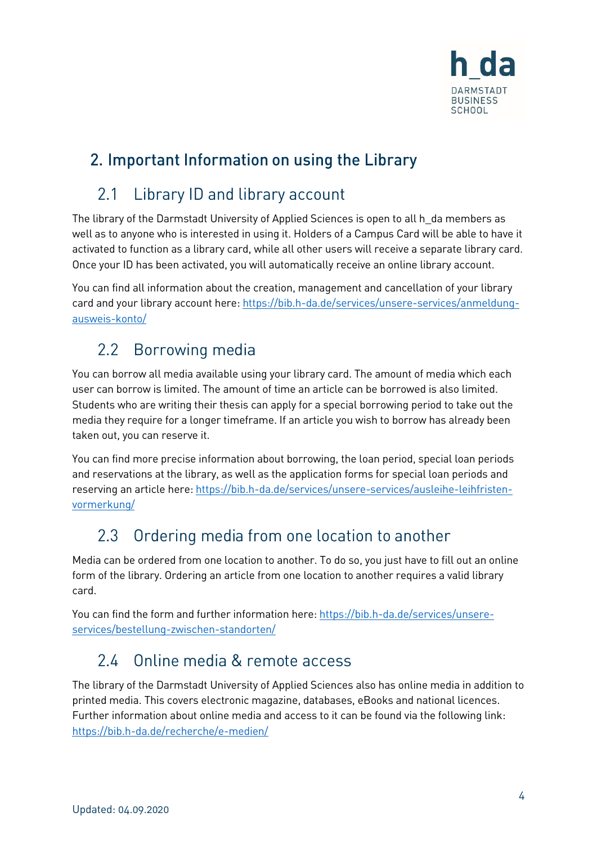

### <span id="page-3-0"></span>2. Important Information on using the Library

#### <span id="page-3-1"></span>Library ID and library account 2.1

The library of the Darmstadt University of Applied Sciences is open to all h\_da members as well as to anyone who is interested in using it. Holders of a Campus Card will be able to have it activated to function as a library card, while all other users will receive a separate library card. Once your ID has been activated, you will automatically receive an online library account.

You can find all information about the creation, management and cancellation of your library card and your library account here: [https://bib.h-da.de/services/unsere-services/anmeldung](https://bib.h-da.de/services/unsere-services/anmeldung-ausweis-konto/)[ausweis-konto/](https://bib.h-da.de/services/unsere-services/anmeldung-ausweis-konto/)

### <span id="page-3-2"></span>2.2 Borrowing media

You can borrow all media available using your library card. The amount of media which each user can borrow is limited. The amount of time an article can be borrowed is also limited. Students who are writing their thesis can apply for a special borrowing period to take out the media they require for a longer timeframe. If an article you wish to borrow has already been taken out, you can reserve it.

You can find more precise information about borrowing, the loan period, special loan periods and reservations at the library, as well as the application forms for special loan periods and reserving an article here: [https://bib.h-da.de/services/unsere-services/ausleihe-leihfristen](https://bib.h-da.de/services/unsere-services/ausleihe-leihfristen-vormerkung/)[vormerkung/](https://bib.h-da.de/services/unsere-services/ausleihe-leihfristen-vormerkung/)

## <span id="page-3-3"></span>2.3 Ordering media from one location to another

Media can be ordered from one location to another. To do so, you just have to fill out an online form of the library. Ordering an article from one location to another requires a valid library card.

You can find the form and further information here[: https://bib.h-da.de/services/unsere](https://bib.h-da.de/services/unsere-services/bestellung-zwischen-standorten/)[services/bestellung-zwischen-standorten/](https://bib.h-da.de/services/unsere-services/bestellung-zwischen-standorten/)

## <span id="page-3-4"></span>2.4 Online media & remote access

The library of the Darmstadt University of Applied Sciences also has online media in addition to printed media. This covers electronic magazine, databases, eBooks and national licences. Further information about online media and access to it can be found via the following link: <https://bib.h-da.de/recherche/e-medien/>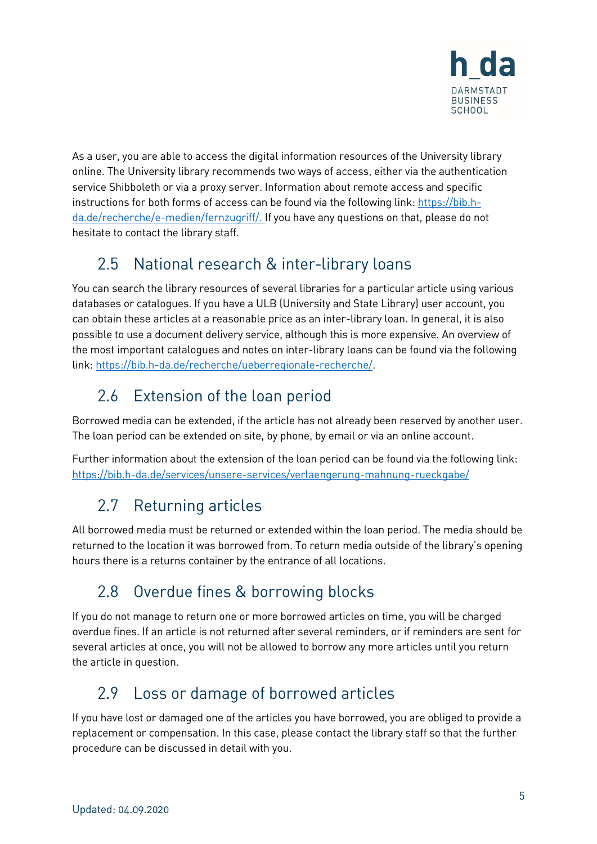

As a user, you are able to access the digital information resources of the University library online. The University library recommends two ways of access, either via the authentication service Shibboleth or via a proxy server. Information about remote access and specific instructions for both forms of access can be found via the following link[: https://bib.h](https://bib.h-da.de/recherche/e-medien/fernzugriff/)[da.de/recherche/e-medien/fernzugriff/.](https://bib.h-da.de/recherche/e-medien/fernzugriff/) If you have any questions on that, please do not hesitate to contact the library staff.

#### <span id="page-4-0"></span>National research & inter-library loans  $2.5$

You can search the library resources of several libraries for a particular article using various databases or catalogues. If you have a ULB (University and State Library) user account, you can obtain these articles at a reasonable price as an inter-library loan. In general, it is also possible to use a document delivery service, although this is more expensive. An overview of the most important catalogues and notes on inter-library loans can be found via the following link: [https://bib.h-da.de/recherche/ueberregionale-recherche/.](https://bib.h-da.de/recherche/ueberregionale-recherche/)

# <span id="page-4-1"></span>2.6 Extension of the loan period

Borrowed media can be extended, if the article has not already been reserved by another user. The loan period can be extended on site, by phone, by email or via an online account.

Further information about the extension of the loan period can be found via the following link: <https://bib.h-da.de/services/unsere-services/verlaengerung-mahnung-rueckgabe/>

# <span id="page-4-2"></span>2.7 Returning articles

All borrowed media must be returned or extended within the loan period. The media should be returned to the location it was borrowed from. To return media outside of the library's opening hours there is a returns container by the entrance of all locations.

#### <span id="page-4-3"></span> $2.8$ Overdue fines & borrowing blocks

If you do not manage to return one or more borrowed articles on time, you will be charged overdue fines. If an article is not returned after several reminders, or if reminders are sent for several articles at once, you will not be allowed to borrow any more articles until you return the article in question.

## <span id="page-4-4"></span>2.9 Loss or damage of borrowed articles

If you have lost or damaged one of the articles you have borrowed, you are obliged to provide a replacement or compensation. In this case, please contact the library staff so that the further procedure can be discussed in detail with you.